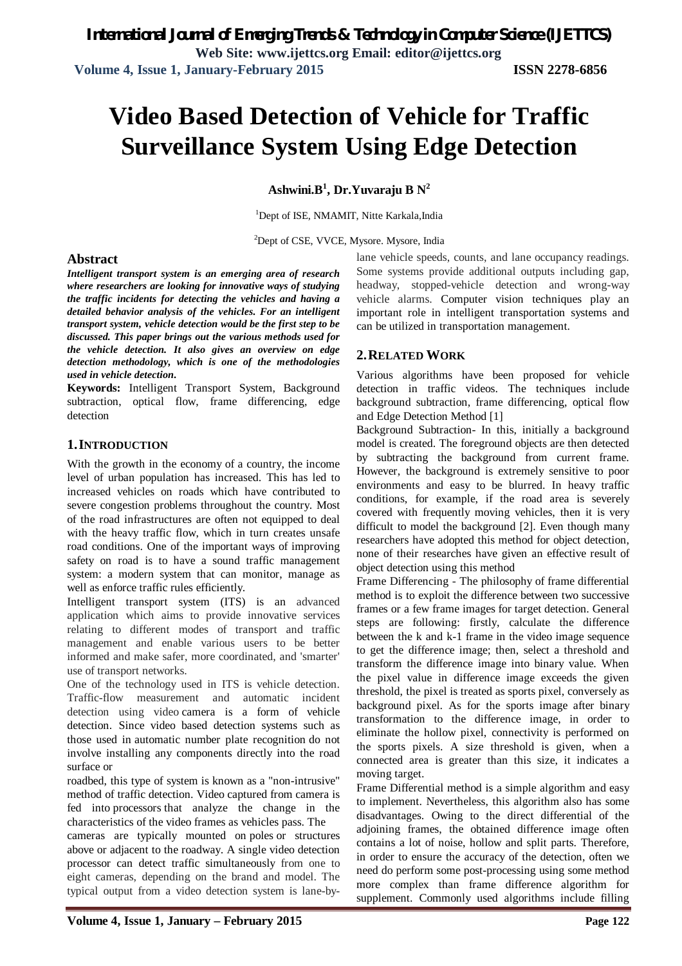# **Video Based Detection of Vehicle for Traffic Surveillance System Using Edge Detection**

**Ashwini.B<sup>1</sup> , Dr.Yuvaraju B N<sup>2</sup>**

<sup>1</sup>Dept of ISE, NMAMIT, Nitte Karkala, India

<sup>2</sup>Dept of CSE, VVCE, Mysore. Mysore, India

#### **Abstract**

*Intelligent transport system is an emerging area of research where researchers are looking for innovative ways of studying the traffic incidents for detecting the vehicles and having a detailed behavior analysis of the vehicles. For an intelligent transport system, vehicle detection would be the first step to be discussed. This paper brings out the various methods used for the vehicle detection. It also gives an overview on edge detection methodology, which is one of the methodologies used in vehicle detection***.**

**Keywords:** Intelligent Transport System, Background subtraction, optical flow, frame differencing, edge detection

#### **1.INTRODUCTION**

With the growth in the economy of a country, the income level of urban population has increased. This has led to increased vehicles on roads which have contributed to severe congestion problems throughout the country. Most of the road infrastructures are often not equipped to deal with the heavy traffic flow, which in turn creates unsafe road conditions. One of the important ways of improving safety on road is to have a sound traffic management system: a modern system that can monitor, manage as well as enforce traffic rules efficiently.

Intelligent transport system (ITS) is an advanced application which aims to provide innovative services relating to different modes of transport and traffic management and enable various users to be better informed and make safer, more coordinated, and 'smarter' use of transport networks.

One of the technology used in ITS is vehicle detection. Traffic-flow measurement and automatic incident detection using video camera is a form of vehicle detection. Since video based detection systems such as those used in automatic number plate recognition do not involve installing any components directly into the road surface or

roadbed, this type of system is known as a "non-intrusive" method of traffic detection. Video captured from camera is fed into processors that analyze the change in the characteristics of the video frames as vehicles pass. The

cameras are typically mounted on poles or structures above or adjacent to the roadway. A single video detection processor can detect traffic simultaneously from one to eight cameras, depending on the brand and model. The typical output from a video detection system is lane-by-

lane vehicle speeds, counts, and lane occupancy readings. Some systems provide additional outputs including gap, headway, stopped-vehicle detection and wrong-way vehicle alarms. Computer vision techniques play an important role in intelligent transportation systems and can be utilized in transportation management.

### **2.RELATED WORK**

Various algorithms have been proposed for vehicle detection in traffic videos. The techniques include background subtraction, frame differencing, optical flow and Edge Detection Method [1]

Background Subtraction- In this, initially a background model is created. The foreground objects are then detected by subtracting the background from current frame. However, the background is extremely sensitive to poor environments and easy to be blurred. In heavy traffic conditions, for example, if the road area is severely covered with frequently moving vehicles, then it is very difficult to model the background [2]. Even though many researchers have adopted this method for object detection, none of their researches have given an effective result of object detection using this method

Frame Differencing - The philosophy of frame differential method is to exploit the difference between two successive frames or a few frame images for target detection. General steps are following: firstly, calculate the difference between the k and k-1 frame in the video image sequence to get the difference image; then, select a threshold and transform the difference image into binary value. When the pixel value in difference image exceeds the given threshold, the pixel is treated as sports pixel, conversely as background pixel. As for the sports image after binary transformation to the difference image, in order to eliminate the hollow pixel, connectivity is performed on the sports pixels. A size threshold is given, when a connected area is greater than this size, it indicates a moving target.

Frame Differential method is a simple algorithm and easy to implement. Nevertheless, this algorithm also has some disadvantages. Owing to the direct differential of the adjoining frames, the obtained difference image often contains a lot of noise, hollow and split parts. Therefore, in order to ensure the accuracy of the detection, often we need do perform some post-processing using some method more complex than frame difference algorithm for supplement. Commonly used algorithms include filling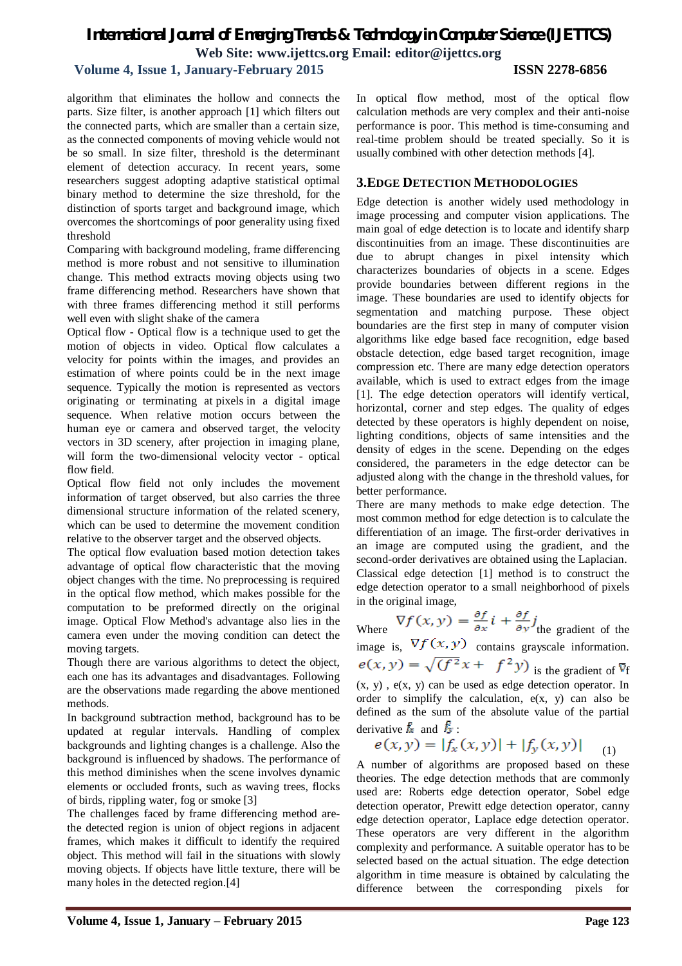## *International Journal of Emerging Trends & Technology in Computer Science (IJETTCS)* **Web Site: www.ijettcs.org Email: editor@ijettcs.org**

### **Volume 4, Issue 1, January-February 2015 ISSN 2278-6856**

algorithm that eliminates the hollow and connects the parts. Size filter, is another approach [1] which filters out the connected parts, which are smaller than a certain size, as the connected components of moving vehicle would not be so small. In size filter, threshold is the determinant element of detection accuracy. In recent years, some researchers suggest adopting adaptive statistical optimal binary method to determine the size threshold, for the distinction of sports target and background image, which overcomes the shortcomings of poor generality using fixed threshold

Comparing with background modeling, frame differencing method is more robust and not sensitive to illumination change. This method extracts moving objects using two frame differencing method. Researchers have shown that with three frames differencing method it still performs well even with slight shake of the camera

Optical flow - Optical flow is a technique used to get the motion of objects in video. Optical flow calculates a velocity for points within the images, and provides an estimation of where points could be in the next image sequence. Typically the motion is represented as vectors originating or terminating at pixels in a digital image sequence. When relative motion occurs between the human eye or camera and observed target, the velocity vectors in 3D scenery, after projection in imaging plane, will form the two-dimensional velocity vector - optical flow field.

Optical flow field not only includes the movement information of target observed, but also carries the three dimensional structure information of the related scenery, which can be used to determine the movement condition relative to the observer target and the observed objects.

The optical flow evaluation based motion detection takes advantage of optical flow characteristic that the moving object changes with the time. No preprocessing is required in the optical flow method, which makes possible for the computation to be preformed directly on the original image. Optical Flow Method's advantage also lies in the camera even under the moving condition can detect the moving targets.

Though there are various algorithms to detect the object, each one has its advantages and disadvantages. Following are the observations made regarding the above mentioned methods.

In background subtraction method, background has to be updated at regular intervals. Handling of complex backgrounds and lighting changes is a challenge. Also the background is influenced by shadows. The performance of this method diminishes when the scene involves dynamic elements or occluded fronts, such as waving trees, flocks of birds, rippling water, fog or smoke [3]

The challenges faced by frame differencing method arethe detected region is union of object regions in adjacent frames, which makes it difficult to identify the required object. This method will fail in the situations with slowly moving objects. If objects have little texture, there will be many holes in the detected region.[4]

In optical flow method, most of the optical flow calculation methods are very complex and their anti-noise performance is poor. This method is time-consuming and real-time problem should be treated specially. So it is usually combined with other detection methods [4].

## **3.EDGE DETECTION METHODOLOGIES**

Edge detection is another widely used methodology in image processing and computer vision applications. The main goal of edge detection is to locate and identify sharp discontinuities from an image. These discontinuities are due to abrupt changes in pixel intensity which characterizes boundaries of objects in a scene. Edges provide boundaries between different regions in the image. These boundaries are used to identify objects for segmentation and matching purpose. These object boundaries are the first step in many of computer vision algorithms like edge based face recognition, edge based obstacle detection, edge based target recognition, image compression etc. There are many edge detection operators available, which is used to extract edges from the image [1]. The edge detection operators will identify vertical, horizontal, corner and step edges. The quality of edges detected by these operators is highly dependent on noise, lighting conditions, objects of same intensities and the density of edges in the scene. Depending on the edges considered, the parameters in the edge detector can be adjusted along with the change in the threshold values, for better performance.

There are many methods to make edge detection. The most common method for edge detection is to calculate the differentiation of an image. The first-order derivatives in an image are computed using the gradient, and the second-order derivatives are obtained using the Laplacian. Classical edge detection [1] method is to construct the edge detection operator to a small neighborhood of pixels in the original image,

Where  $\nabla f(x, y) = \frac{\partial f}{\partial x} i + \frac{\partial f}{\partial y} j$  the gradient of the image is,  $\nabla f(x, y)$  contains grayscale information.  $e(x, y) = \sqrt{(f^2x + f^2y)}$  is the gradient of  $\nabla$  $(x, y)$ ,  $e(x, y)$  can be used as edge detection operator. In order to simplify the calculation, e(x, y) can also be defined as the sum of the absolute value of the partial derivative  $f_{\mathbf{x}}$  and  $f_{\mathbf{y}}$ :

$$
e(x,y) = |f_x(x,y)| + |f_y(x,y)| \quad (1)
$$

A number of algorithms are proposed based on these theories. The edge detection methods that are commonly used are: Roberts edge detection operator, Sobel edge detection operator, Prewitt edge detection operator, canny edge detection operator, Laplace edge detection operator. These operators are very different in the algorithm complexity and performance. A suitable operator has to be selected based on the actual situation. The edge detection algorithm in time measure is obtained by calculating the difference between the corresponding pixels for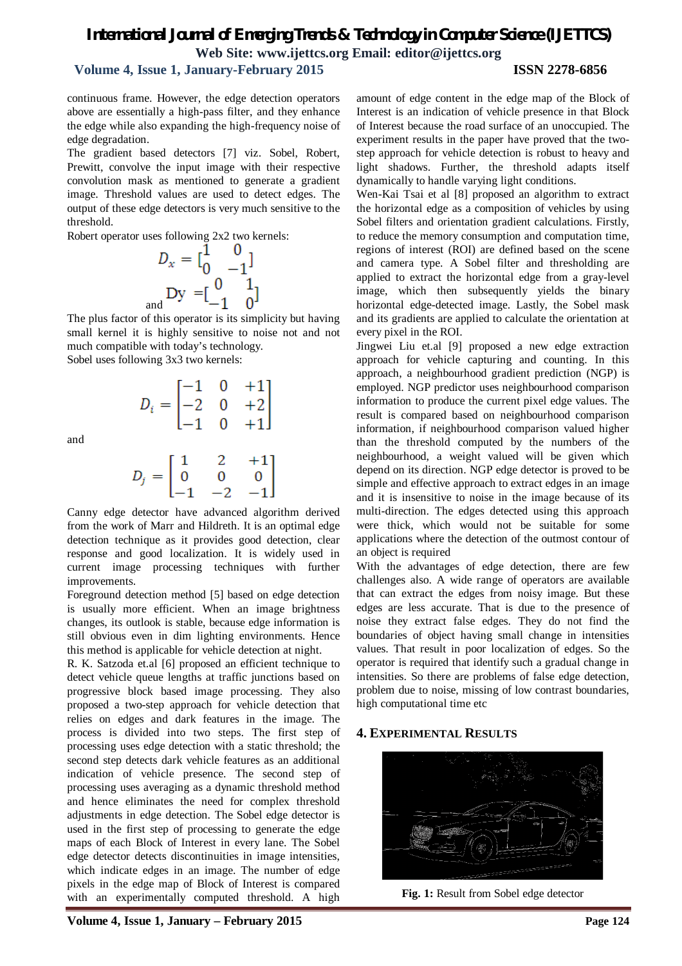## *International Journal of Emerging Trends & Technology in Computer Science (IJETTCS)* **Web Site: www.ijettcs.org Email: editor@ijettcs.org**

## **Volume 4, Issue 1, January-February 2015 ISSN 2278-6856**

continuous frame. However, the edge detection operators above are essentially a high-pass filter, and they enhance the edge while also expanding the high-frequency noise of edge degradation.

The gradient based detectors [7] viz. Sobel, Robert, Prewitt, convolve the input image with their respective convolution mask as mentioned to generate a gradient image. Threshold values are used to detect edges. The output of these edge detectors is very much sensitive to the threshold.

Robert operator uses following 2x2 two kernels:

an

$$
D_x = \begin{bmatrix} 1 & 0 \\ 0 & -1 \end{bmatrix}
$$
  
\n<sub>d</sub> Dy =  $\begin{bmatrix} 0 & 1 \\ -1 & 0 \end{bmatrix}$ 

The plus factor of this operator is its simplicity but having small kernel it is highly sensitive to noise not and not much compatible with today's technology. Sobel uses following 3x3 two kernels:

$$
D_i = \begin{bmatrix} -1 & 0 & +1 \\ -2 & 0 & +2 \\ -1 & 0 & +1 \end{bmatrix}
$$

and

$$
D_j=\begin{bmatrix} 1 & 2 & +1 \\ 0 & 0 & 0 \\ -1 & -2 & -1 \end{bmatrix}
$$

Canny edge detector have advanced algorithm derived from the work of Marr and Hildreth. It is an optimal edge detection technique as it provides good detection, clear response and good localization. It is widely used in current image processing techniques with further improvements.

Foreground detection method [5] based on edge detection is usually more efficient. When an image brightness changes, its outlook is stable, because edge information is still obvious even in dim lighting environments. Hence this method is applicable for vehicle detection at night.

R. K. Satzoda et.al [6] proposed an efficient technique to detect vehicle queue lengths at traffic junctions based on progressive block based image processing. They also proposed a two-step approach for vehicle detection that relies on edges and dark features in the image. The process is divided into two steps. The first step of processing uses edge detection with a static threshold; the second step detects dark vehicle features as an additional indication of vehicle presence. The second step of processing uses averaging as a dynamic threshold method and hence eliminates the need for complex threshold adjustments in edge detection. The Sobel edge detector is used in the first step of processing to generate the edge maps of each Block of Interest in every lane. The Sobel edge detector detects discontinuities in image intensities, which indicate edges in an image. The number of edge pixels in the edge map of Block of Interest is compared with an experimentally computed threshold. A high

Wen-Kai Tsai et al [8] proposed an algorithm to extract the horizontal edge as a composition of vehicles by using Sobel filters and orientation gradient calculations. Firstly, to reduce the memory consumption and computation time, regions of interest (ROI) are defined based on the scene and camera type. A Sobel filter and thresholding are applied to extract the horizontal edge from a gray-level image, which then subsequently yields the binary horizontal edge-detected image. Lastly, the Sobel mask and its gradients are applied to calculate the orientation at every pixel in the ROI.

Jingwei Liu et.al [9] proposed a new edge extraction approach for vehicle capturing and counting. In this approach, a neighbourhood gradient prediction (NGP) is employed. NGP predictor uses neighbourhood comparison information to produce the current pixel edge values. The result is compared based on neighbourhood comparison information, if neighbourhood comparison valued higher than the threshold computed by the numbers of the neighbourhood, a weight valued will be given which depend on its direction. NGP edge detector is proved to be simple and effective approach to extract edges in an image and it is insensitive to noise in the image because of its multi-direction. The edges detected using this approach were thick, which would not be suitable for some applications where the detection of the outmost contour of an object is required

With the advantages of edge detection, there are few challenges also. A wide range of operators are available that can extract the edges from noisy image. But these edges are less accurate. That is due to the presence of noise they extract false edges. They do not find the boundaries of object having small change in intensities values. That result in poor localization of edges. So the operator is required that identify such a gradual change in intensities. So there are problems of false edge detection, problem due to noise, missing of low contrast boundaries, high computational time etc

## **4. EXPERIMENTAL RESULTS**



**Fig. 1:** Result from Sobel edge detector